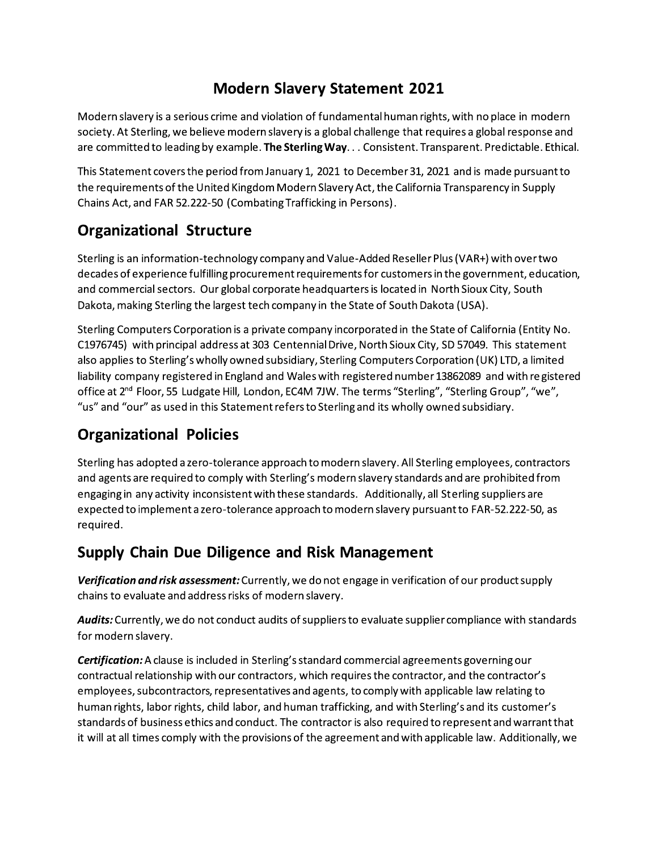# **Modern Slavery Statement 2021**

Modern slavery is a serious crime and violation of fundamental human rights, with no place in modern society. At Sterling, we believe modern slavery is a global challenge that requires a global response and are committed to leading by example. The Sterling Way. . . Consistent. Transparent. Predictable. Ethical.

This Statement covers the period from January 1, 2021 to December 31, 2021 and is made pursuant to the requirements of the United Kingdom Modern Slavery Act, the California Transparency in Supply Chains Act, and FAR 52.222-50 (Combating Trafficking in Persons).

# **Organizational Structure**

Sterling is an information-technology company and Value-Added Reseller Plus (VAR+) with over two decades of experience fulfilling procurement requirements for customers in the government, education, and commercial sectors. Our global corporate headquarters is located in North Sioux City, South Dakota, making Sterling the largest tech company in the State of South Dakota (USA).

Sterling Computers Corporation is a private company incorporated in the State of California (Entity No. C1976745) with principal address at 303 Centennial Drive, North Sioux City, SD 57049. This statement also applies to Sterling's wholly owned subsidiary, Sterling Computers Corporation (UK) LTD, a limited liability company registered in England and Wales with registered number 13862089 and with registered office at 2<sup>nd</sup> Floor, 55 Ludgate Hill, London, EC4M 7JW. The terms "Sterling", "Sterling Group", "we", "us" and "our" as used in this Statement refers to Sterling and its wholly owned subsidiary.

# **Organizational Policies**

Sterling has adopted a zero-tolerance approach to modern slavery. All Sterling employees, contractors and agents are required to comply with Sterling's modern slavery standards and are prohibited from engaging in any activity inconsistent with these standards. Additionally, all Sterling suppliers are expected to implement a zero-tolerance approach to modern slavery pursuant to FAR-52.222-50, as required.

### **Supply Chain Due Diligence and Risk Management**

Verification and risk assessment: Currently, we do not engage in verification of our product supply chains to evaluate and address risks of modern slavery.

Audits: Currently, we do not conduct audits of suppliers to evaluate supplier compliance with standards for modern slavery.

**Certification:** A clause is included in Sterling's standard commercial agreements governing our contractual relationship with our contractors, which requires the contractor, and the contractor's employees, subcontractors, representatives and agents, to comply with applicable law relating to human rights, labor rights, child labor, and human trafficking, and with Sterling's and its customer's standards of business ethics and conduct. The contractor is also required to represent and warrant that it will at all times comply with the provisions of the agreement and with applicable law. Additionally, we